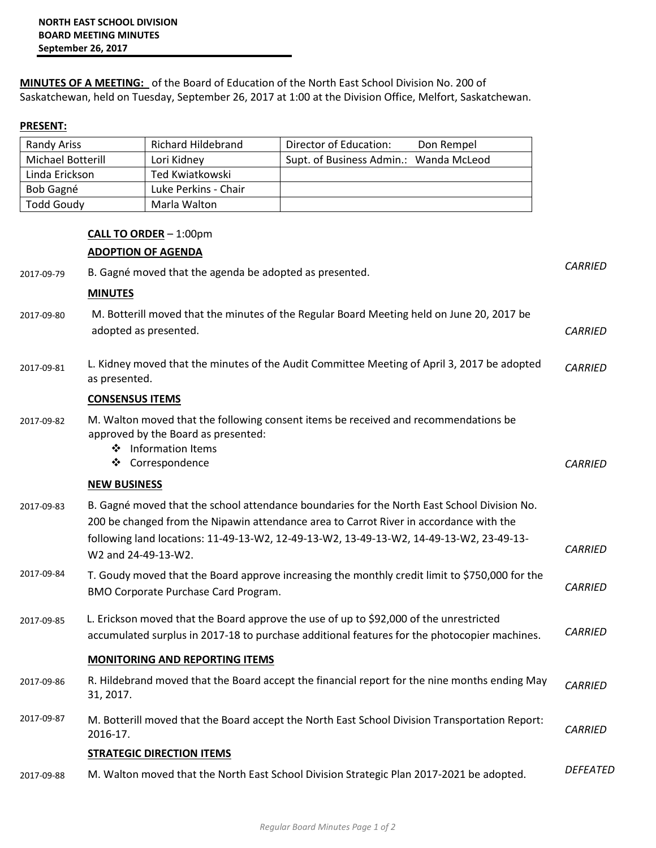**MINUTES OF A MEETING:** of the Board of Education of the North East School Division No. 200 of Saskatchewan, held on Tuesday, September 26, 2017 at 1:00 at the Division Office, Melfort, Saskatchewan.

## **PRESENT:**

| Randy Ariss       | Richard Hildebrand   | Director of Education:<br>Don Rempel   |  |
|-------------------|----------------------|----------------------------------------|--|
| Michael Botterill | Lori Kidney          | Supt. of Business Admin.: Wanda McLeod |  |
| Linda Erickson    | Ted Kwiatkowski      |                                        |  |
| Bob Gagné         | Luke Perkins - Chair |                                        |  |
| <b>Todd Goudy</b> | Marla Walton         |                                        |  |

## **CALL TO ORDER** – 1:00pm **ADOPTION OF AGENDA**

| 2017-09-79 | B. Gagné moved that the agenda be adopted as presented.                                                                                                                                                                                                                                                 | <b>CARRIED</b> |
|------------|---------------------------------------------------------------------------------------------------------------------------------------------------------------------------------------------------------------------------------------------------------------------------------------------------------|----------------|
|            | <b>MINUTES</b>                                                                                                                                                                                                                                                                                          |                |
| 2017-09-80 | M. Botterill moved that the minutes of the Regular Board Meeting held on June 20, 2017 be<br>adopted as presented.                                                                                                                                                                                      | <b>CARRIED</b> |
| 2017-09-81 | L. Kidney moved that the minutes of the Audit Committee Meeting of April 3, 2017 be adopted<br>as presented.                                                                                                                                                                                            | <b>CARRIED</b> |
|            | <b>CONSENSUS ITEMS</b>                                                                                                                                                                                                                                                                                  |                |
| 2017-09-82 | M. Walton moved that the following consent items be received and recommendations be<br>approved by the Board as presented:<br>❖ Information Items<br>❖ Correspondence                                                                                                                                   | <b>CARRIED</b> |
|            | <b>NEW BUSINESS</b>                                                                                                                                                                                                                                                                                     |                |
| 2017-09-83 | B. Gagné moved that the school attendance boundaries for the North East School Division No.<br>200 be changed from the Nipawin attendance area to Carrot River in accordance with the<br>following land locations: 11-49-13-W2, 12-49-13-W2, 13-49-13-W2, 14-49-13-W2, 23-49-13-<br>W2 and 24-49-13-W2. | <b>CARRIED</b> |
| 2017-09-84 | T. Goudy moved that the Board approve increasing the monthly credit limit to \$750,000 for the<br>BMO Corporate Purchase Card Program.                                                                                                                                                                  | <b>CARRIED</b> |
| 2017-09-85 | L. Erickson moved that the Board approve the use of up to \$92,000 of the unrestricted<br>accumulated surplus in 2017-18 to purchase additional features for the photocopier machines.                                                                                                                  | <b>CARRIED</b> |
|            | <b>MONITORING AND REPORTING ITEMS</b>                                                                                                                                                                                                                                                                   |                |
| 2017-09-86 | R. Hildebrand moved that the Board accept the financial report for the nine months ending May<br>31, 2017.                                                                                                                                                                                              | <b>CARRIED</b> |
| 2017-09-87 | M. Botterill moved that the Board accept the North East School Division Transportation Report:<br>2016-17.                                                                                                                                                                                              | <b>CARRIED</b> |
|            | <b>STRATEGIC DIRECTION ITEMS</b>                                                                                                                                                                                                                                                                        |                |
| 2017-09-88 | M. Walton moved that the North East School Division Strategic Plan 2017-2021 be adopted.                                                                                                                                                                                                                | DEFEATED       |